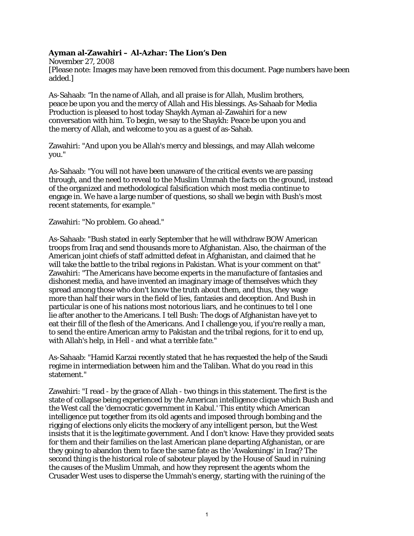## **Ayman al-Zawahiri – Al-Azhar: The Lion's Den**

November 27, 2008 [Please note: Images may have been removed from this document. Page numbers have been added.]

As-Sahaab: "In the name of Allah, and all praise is for Allah, Muslim brothers, peace be upon you and the mercy of Allah and His blessings. As-Sahaab for Media Production is pleased to host today Shaykh Ayman al-Zawahiri for a new conversation with him. To begin, we say to the Shaykh: Peace be upon you and the mercy of Allah, and welcome to you as a guest of as-Sahab.

Zawahiri: "And upon you be Allah's mercy and blessings, and may Allah welcome you."

As-Sahaab: "You will not have been unaware of the critical events we are passing through, and the need to reveal to the Muslim Ummah the facts on the ground, instead of the organized and methodological falsification which most media continue to engage in. We have a large number of questions, so shall we begin with Bush's most recent statements, for example."

Zawahiri: "No problem. Go ahead."

As-Sahaab: "Bush stated in early September that he will withdraw BOW American troops from Iraq and send thousands more to Afghanistan. Also, the chairman of the American joint chiefs of staff admitted defeat in Afghanistan, and claimed that he will take the battle to the tribal regions in Pakistan. What is your comment on that" Zawahiri: "The Americans have become experts in the manufacture of fantasies and dishonest media, and have invented an imaginary image of themselves which they spread among those who don't know the truth about them, and thus, they wage more than half their wars in the field of lies, fantasies and deception. And Bush in particular is one of his nations most notorious liars, and he continues to tel l one lie after another to the Americans. I tell Bush: The dogs of Afghanistan have yet to eat their fill of the flesh of the Americans. And I challenge you, if you're really a man, to send the entire American army to Pakistan and the tribal regions, for it to end up, with Allah's help, in Hell - and what a terrible fate."

As-Sahaab: "Hamid Karzai recently stated that he has requested the help of the Saudi regime in intermediation between him and the Taliban. What do you read in this statement."

Zawahiri: "I read - by the grace of Allah - two things in this statement. The first is the state of collapse being experienced by the American intelligence clique which Bush and the West call the 'democratic government in Kabul.' This entity which American intelligence put together from its old agents and imposed through bombing and the rigging of elections only elicits the mockery of any intelligent person, but the West insists that it is the legitimate government. And I don't know: Have they provided seats for them and their families on the last American plane departing Afghanistan, or are they going to abandon them to face the same fate as the 'Awakenings' in Iraq? The second thing is the historical role of saboteur played by the House of Saud in ruining the causes of the Muslim Ummah, and how they represent the agents whom the Crusader West uses to disperse the Ummah's energy, starting with the ruining of the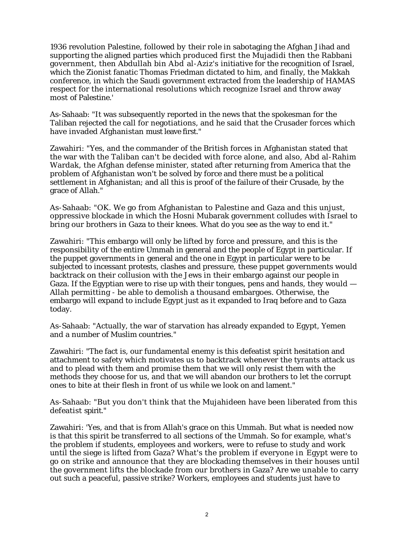1936 revolution Palestine, followed by their role in sabotaging the Afghan Jihad and supporting the aligned parties which produced first the Mujadidi then the Rabbani government, then Abdullah bin Abd al-Aziz's initiative for the recognition of Israel, which the Zionist fanatic Thomas Friedman dictated to him, and finally, the Makkah conference, in which the Saudi government extracted from the leadership of HAMAS respect for the international resolutions which recognize Israel and throw away most of Palestine.'

As-Sahaab: "It was subsequently reported in the news that the spokesman for the Taliban rejected the call for negotiations, and he said that the Crusader forces which have invaded Afghanistan must leave first."

Zawahiri: "Yes, and the commander of the British forces in Afghanistan stated that the war with the Taliban can't be decided with force alone, and also, Abd al-Rahim Wardak, the Afghan defense minister, stated after returning from America that the problem of Afghanistan won't be solved by force and there must be a political settlement in Afghanistan; and all this is proof of the failure of their Crusade, by the grace of Allah."

As-Sahaab: "OK. We go from Afghanistan to Palestine and Gaza and this unjust, oppressive blockade in which the Hosni Mubarak government colludes with Israel to bring our brothers in Gaza to their knees. What do you see as the way to end it."

Zawahiri: "This embargo will only be lifted by force and pressure, and this is the responsibility of the entire Ummah in general and the people of Egypt in particular. If the puppet governments in general and the one in Egypt in particular were to be subjected to incessant protests, clashes and pressure, these puppet governments would backtrack on their collusion with the Jews in their embargo against our people in Gaza. If the Egyptian were to rise up with their tongues, pens and hands, they would  $-$ Allah permitting - be able to demolish a thousand embargoes. Otherwise, the embargo will expand to include Egypt just as it expanded to Iraq before and to Gaza today.

As-Sahaab: "Actually, the war of starvation has already expanded to Egypt, Yemen and a number of Muslim countries."

Zawahiri: "The fact is, our fundamental enemy is this defeatist spirit hesitation and attachment to safety which motivates us to backtrack whenever the tyrants attack us and to plead with them and promise them that we will only resist them with the methods they choose for us, and that we will abandon our brothers to let the corrupt ones to bite at their flesh in front of us while we look on and lament."

As-Sahaab: "But you don't think that the Mujahideen have been liberated from this defeatist spirit."

Zawahiri: 'Yes, and that is from Allah's grace on this Ummah. But what is needed now is that this spirit be transferred to all sections of the Ummah. So for example, what's the problem if students, employees and workers, were to refuse to study and work until the siege is lifted from Gaza? What's the problem if everyone in Egypt were to go on strike and announce that they are blockading themselves in their houses until the government lifts the blockade from our brothers in Gaza? Are we unable to carry out such a peaceful, passive strike? Workers, employees and students just have to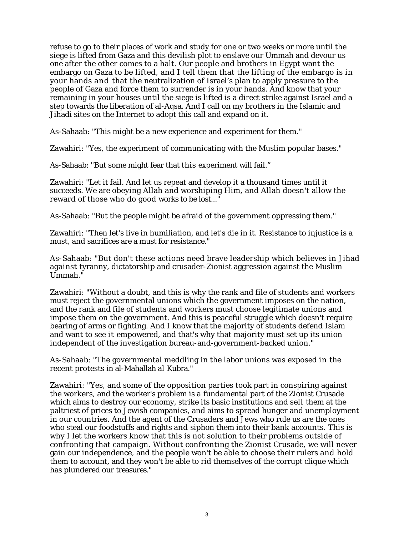refuse to go to their places of work and study for one or two weeks or more until the siege is lifted from Gaza and this devilish plot to enslave our Ummah and devour us one after the other comes to a halt. Our people and brothers in Egypt want the embargo on Gaza to be lifted, and I tell them that the lifting of the embargo is in your hands and that the neutralization of Israel's plan to apply pressure to the people of Gaza and force them to surrender is in your hands. And know that your remaining in your houses until the siege is lifted is a direct strike against Israel and a step towards the liberation of al-Aqsa. And I call on my brothers in the Islamic and Jihadi sites on the Internet to adopt this call and expand on it.

As-Sahaab: "This might be a new experience and experiment for them."

Zawahiri: "Yes, the experiment of communicating with the Muslim popular bases."

As-Sahaab: "But some might fear that this experiment will fail."

Zawahiri: "Let it fail. And let us repeat and develop it a thousand times until it succeeds. We are obeying Allah and worshiping Him, and Allah doesn't allow the reward of those who do good works to be lost..."

As-Sahaab: "But the people might be afraid of the government oppressing them."

Zawahiri: "Then let's live in humiliation, and let's die in it. Resistance to injustice is a must, and sacrifices are a must for resistance."

As-Sahaab: "But don't these actions need brave leadership which believes in Jihad against tyranny, dictatorship and crusader-Zionist aggression against the Muslim Ummah."

Zawahiri: "Without a doubt, and this is why the rank and file of students and workers must reject the governmental unions which the government imposes on the nation, and the rank and file of students and workers must choose legitimate unions and impose them on the government. And this is peaceful struggle which doesn't require bearing of arms or fighting. And I know that the majority of students defend Islam and want to see it empowered, and that's why that majority must set up its union independent of the investigation bureau-and-government-backed union."

As-Sahaab: "The governmental meddling in the labor unions was exposed in the recent protests in al-Mahallah al Kubra."

Zawahiri: "Yes, and some of the opposition parties took part in conspiring against the workers, and the worker's problem is a fundamental part of the Zionist Crusade which aims to destroy our economy, strike its basic institutions and sell them at the paltriest of prices to Jewish companies, and aims to spread hunger and unemployment in our countries. And the agent of the Crusaders and Jews who rule us are the ones who steal our foodstuffs and rights and siphon them into their bank accounts. This is why I let the workers know that this is not solution to their problems outside of confronting that campaign. Without confronting the Zionist Crusade, we will never gain our independence, and the people won't be able to choose their rulers and hold them to account, and they won't be able to rid themselves of the corrupt clique which has plundered our treasures."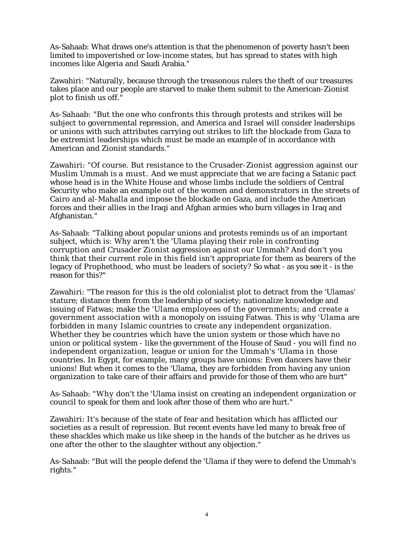As-Sahaab: What draws one's attention is that the phenomenon of poverty hasn't been limited to impoverished or low-income states, but has spread to states with high incomes like Algeria and Saudi Arabia."

Zawahiri: "Naturally, because through the treasonous rulers the theft of our treasures takes place and our people are starved to make them submit to the American-Zionist plot to finish us off."

As-Sahaab: "But the one who confronts this through protests and strikes will be subject to governmental repression, and America and Israel will consider leaderships or unions with such attributes carrying out strikes to lift the blockade from Gaza to be extremist leaderships which must be made an example of in accordance with American and Zionist standards."

Zawahiri: "Of course. But resistance to the Crusader-Zionist aggression against our Muslim Ummah is a must. And we must appreciate that we are facing a Satanic pact whose head is in the White House and whose limbs include the soldiers of Central Security who make an example out of the women and demonstrators in the streets of Cairo and al-Mahalla and impose the blockade on Gaza, and include the American forces and their allies in the Iraqi and Afghan armies who burn villages in Iraq and Afghanistan."

As-Sahaab: "Talking about popular unions and protests reminds us of an important subject, which is: Why aren't the 'Ulama playing their role in confronting corruption and Crusader Zionist aggression against our Ummah? And don't you think that their current role in this field isn't appropriate for them as bearers of the legacy of Prophethood, who must be leaders of society? So what - as you see it - is the reason for this?"

Zawahiri: "The reason for this is the old colonialist plot to detract from the 'Ulamas' stature; distance them from the leadership of society; nationalize knowledge and issuing of Fatwas; make the 'Ulama employees of the governments; and create a government association with a monopoly on issuing Fatwas. This is why 'Ulama are forbidden in many Islamic countries to create any independent organization. Whether they be countries which have the union system or those which have no union or political system - like the government of the House of Saud - you will find no independent organization, league or union for the Ummah's 'Ulama in those countries. In Egypt, for example, many groups have unions: Even dancers have their unions! But when it comes to the 'Ulama, they are forbidden from having any union organization to take care of their affairs and provide for those of them who are hurt"

As-Sahaab: "Why don't the 'Ulama insist on creating an independent organization or council to speak for them and look after those of them who are hurt."

Zawahiri: It's because of the state of fear and hesitation which has afflicted our societies as a result of repression. But recent events have led many to break free of these shackles which make us like sheep in the hands of the butcher as he drives us one after the other to the slaughter without any objection."

As-Sahaab: "But will the people defend the 'Ulama if they were to defend the Ummah's rights."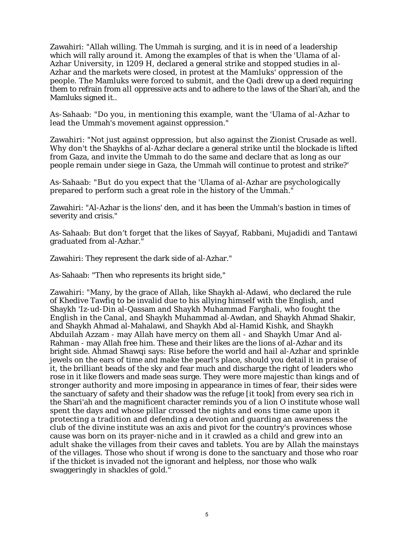Zawahiri: "Allah willing. The Ummah is surging, and it is in need of a leadership which will rally around it. Among the examples of that is when the 'Ulama of al-Azhar University, in 1209 H, declared a general strike and stopped studies in al-Azhar and the markets were closed, in protest at the Mamluks' oppression of the people. The Mamluks were forced to submit, and the Qadi drew up a deed requiring them to refrain from all oppressive acts and to adhere to the laws of the Shari'ah, and the Mamluks signed it..

As-Sahaab: "Do you, in mentioning this example, want the 'Ulama of al-Azhar to lead the Ummah's movement against oppression."

Zawahiri: "Not just against oppression, but also against the Zionist Crusade as well. Why don't the Shaykhs of al-Azhar declare a general strike until the blockade is lifted from Gaza, and invite the Ummah to do the same and declare that as long as our people remain under siege in Gaza, the Ummah will continue to protest and strike?'

As-Sahaab: "But do you expect that the 'Ulama of al-Azhar are psychologically prepared to perform such a great role in the history of the Ummah."

Zawahiri: "Al-Azhar is the lions' den, and it has been the Ummah's bastion in times of severity and crisis."

As-Sahaab: But don't forget that the likes of Sayyaf, Rabbani, Mujadidi and Tantawi graduated from al-Azhar."

Zawahiri: They represent the dark side of al-Azhar."

As-Sahaab: "Then who represents its bright side,"

Zawahiri: "Many, by the grace of Allah, like Shaykh al-Adawi, who declared the rule of Khedive Tawfiq to be invalid due to his allying himself with the English, and Shaykh 'Iz-ud-Din al-Qassam and Shaykh Muhammad Farghali, who fought the English in the Canal, and Shaykh Muhammad al-Awdan, and Shaykh Ahmad Shakir, and Shaykh Ahmad al-Mahalawi, and Shaykh Abd al-Hamid Kishk, and Shaykh Abduilah Azzam - may Allah have mercy on them all - and Shaykh Umar And al-Rahman - may Allah free him. These and their likes are the lions of al-Azhar and its bright side. Ahmad Shawqi says: Rise before the world and hail al-Azhar and sprinkle jewels on the ears of time and make the pearl's place, should you detail it in praise of it, the brilliant beads of the sky and fear much and discharge the right of leaders who rose in it like flowers and made seas surge. They were more majestic than kings and of stronger authority and more imposing in appearance in times of fear, their sides were the sanctuary of safety and their shadow was the refuge [it took] from every sea rich in the Shari'ah and the magnificent character reminds you of a lion O institute whose wall spent the days and whose pillar crossed the nights and eons time came upon it protecting a tradition and defending a devotion and guarding an awareness the club of the divine institute was an axis and pivot for the country's provinces whose cause was born on its prayer-niche and in it crawled as a child and grew into an adult shake the villages from their caves and tablets. You are by Allah the mainstays of the villages. Those who shout if wrong is done to the sanctuary and those who roar if the thicket is invaded not the ignorant and helpless, nor those who walk swaggeringly in shackles of gold."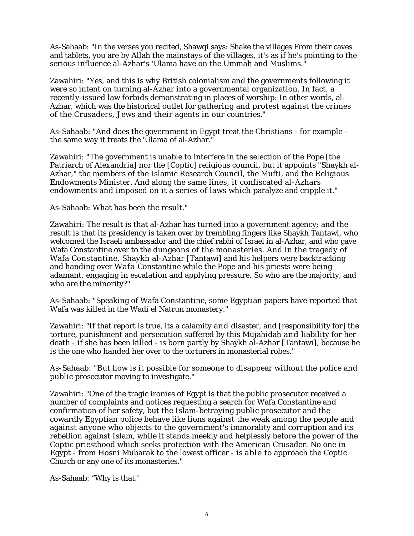As-Sahaab: "In the verses you recited, Shawqi says: Shake the villages From their caves and tablets, you are by Allah the mainstays of the villages, it's as if he's pointing to the serious influence al-Azhar's 'Ulama have on the Ummah and Muslims."

Zawahiri: "Yes, and this is why British colonialism and the governments following it were so intent on turning al-Azhar into a governmental organization. In fact, a recently-issued law forbids demonstrating in places of worship: In other words, al-Azhar, which was the historical outlet for gathering and protest against the crimes of the Crusaders, Jews and their agents in our countries."

As-Sahaab: "And does the government in Egypt treat the Christians - for example the same way it treats the 'Ulama of al-Azhar."

Zawahiri: "The government is unable to interfere in the selection of the Pope [the Patriarch of Alexandria] nor the [Coptic] religious council, but it appoints "Shaykh al-Azhar," the members of the Islamic Research Council, the Mufti, and the Religious Endowments Minister. And along the same lines, it confiscated al-Azhars endowments and imposed on it a series of laws which paralyze and cripple it."

As-Sahaab: What has been the result."

Zawahiri: The result is that al-Azhar has turned into a government agency; and the result is that its presidency is taken over by trembling fingers like Shaykh Tantawi, who welcomed the Israeli ambassador and the chief rabbi of Israel in al-Azhar, and who gave Wafa Constantine over to the dungeons of the monasteries. And in the tragedy of Wafa Constantine, Shaykh al-Azhar [Tantawi] and his helpers were backtracking and handing over Wafa Constantine while the Pope and his priests were being adamant, engaging in escalation and applying pressure. So who are the majority, and who are the minority?"

As-Sahaab: "Speaking of Wafa Constantine, some Egyptian papers have reported that Wafa was killed in the Wadi el Natrun monastery."

Zawahiri: "If that report is true, its a calamity and disaster, and [responsibility for] the torture, punishment and persecution suffered by this Mujahidah and liability for her death - if she has been killed - is born partly by Shaykh al-Azhar [Tantawi], because he is the one who handed her over to the torturers in monasterial robes."

As-Sahaab: "But how is it possible for someone to disappear without the police and public prosecutor moving to investigate."

Zawahiri: "One of the tragic ironies of Egypt is that the public prosecutor received a number of complaints and notices requesting a search for Wafa Constantine and confirmation of her safety, but the Islam-betraying public prosecutor and the cowardly Egyptian police behave like lions against the weak among the people and against anyone who objects to the government's immorality and corruption and its rebellion against Islam, while it stands meekly and helplessly before the power of the Coptic priesthood which seeks protection with the American Crusader. No one in Egypt - from Hosni Mubarak to the lowest officer - is able to approach the Coptic Church or any one of its monasteries."

As-Sahaab: "Why is that."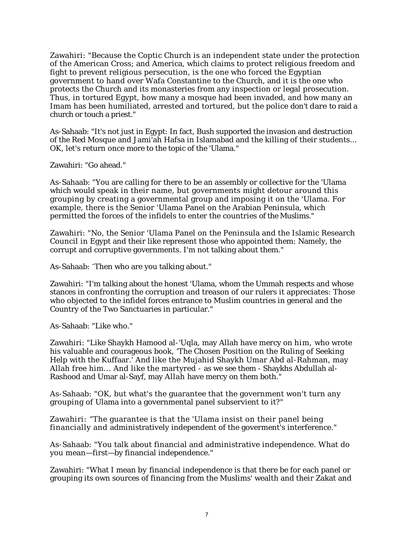Zawahiri: "Because the Coptic Church is an independent state under the protection of the American Cross; and America, which claims to protect religious freedom and fight to prevent religious persecution, is the one who forced the Egyptian government to hand over Wafa Constantine to the Church, and it is the one who protects the Church and its monasteries from any inspection or legal prosecution. Thus, in tortured Egypt, how many a mosque had been invaded, and how many an Imam has been humiliated, arrested and tortured, but the police don't dare to raid a church or touch a priest."

As-Sahaab: "It's not just in Egypt: In fact, Bush supported the invasion and destruction of the Red Mosque and Jami'ah Hafsa in Islamabad and the killing of their students... OK, let's return once more to the topic of the 'Ulama."

Zawahiri: "Go ahead."

As-Sahaab: "You are calling for there to be an assembly or collective for the 'Ulama which would speak in their name, but governments might detour around this grouping by creating a governmental group and imposing it on the 'Ulama. For example, there is the Senior 'Ulama Panel on the Arabian Peninsula, which permitted the forces of the infidels to enter the countries of the Muslims."

Zawahiri: "No, the Senior 'Ulama Panel on the Peninsula and the Islamic Research Council in Egypt and their like represent those who appointed them: Namely, the corrupt and corruptive governments. I'm not talking about them."

As-Sahaab: "Then who are you talking about."

Zawahiri: "I'm talking about the honest 'Ulama, whom the Ummah respects and whose stances in confronting the corruption and treason of our rulers it appreciates: Those who objected to the infidel forces entrance to Muslim countries in general and the Country of the Two Sanctuaries in particular."

As-Sahaab: "Like who."

Zawahiri: "Like Shaykh Hamood al-'Uqla, may Allah have mercy on him, who wrote his valuable and courageous book, 'The Chosen Position on the Ruling of Seeking Help with the Kuffaar.' And like the Mujahid Shaykh Umar Abd al-Rahman, may Allah free him... And like the martyred - as we see them - Shaykhs Abdullah al-Rashood and Umar al-Sayf, may Allah have mercy on them both."

As-Sahaab: "OK, but what's the guarantee that the government won't turn any grouping of Ulama into a governmental panel subservient to it?"

Zawahiri: "The guarantee is that the 'Ulama insist on their panel being financially and administratively independent of the goverment's interference."

As-Sahaab: "You talk about financial and administrative independence. What do you mean—first—by financial independence."

Zawahiri: "What I mean by financial independence is that there be for each panel or grouping its own sources of financing from the Muslims' wealth and their Zakat and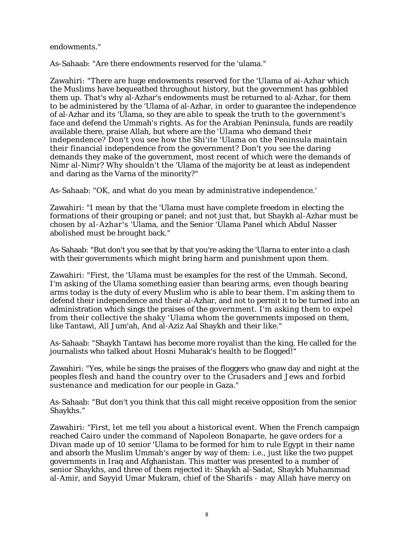## endowments."

As-Sahaab: "Are there endowments reserved for the 'ulama."

Zawahiri: "There are huge endowments reserved for the 'Ulama of ai-Azhar which the Muslims have bequeathed throughout history, but the government has gobbled them up. That's why al-Azhar's endowments must be returned to al-Azhar, for them to be administered by the 'Ulama of al-Azhar, in order to guarantee the independence of al-Azhar and its 'Ulama, so they are able to speak the truth to the government's face and defend the Ummah's rights. As for the Arabian Peninsula, funds are readily available there, praise Allah, but where are the 'Ulama who demand their independence? Don't you see how the Shi'ite 'Ulama on the Peninsula maintain their financial independence from the government? Don't you see the daring demands they make of the government, most recent of which were the demands of Nimr al-Nimr? Why shouldn't the 'Ulama of the majority be at least as independent and daring as the Varna of the minority?"

As-Sahaab: "OK, and what do you mean by administrative independence.'

Zawahiri: "I mean by that the 'Ulama must have complete freedom in electing the formations of their grouping or panel; and not just that, but Shaykh al-Azhar must be chosen by al-Azhar's 'Ulama, and the Senior 'Ulama Panel which Abdul Nasser abolished must be brought back."

As-Sahaab: "But don't you see that by that you're asking the 'Ularna to enter into a clash with their governments which might bring harm and punishment upon them.

Zawahiri: "First, the 'Ulama must be examples for the rest of the Ummah. Second, I'm asking of the Ulama something easier than bearing arms, even though bearing arms today is the duty of every Muslim who is able to bear them. I'm asking them to defend their independence and their al-Azhar, and not to permit it to be turned into an administration which sings the praises of the government. I'm asking them to expel from their collective the shaky 'Ulama whom the governments imposed on them, like Tantawi, All Jum'ah, And al-Aziz Aal Shaykh and their like."

As-Sahaab: "Shaykh Tantawi has become more royalist than the king. He called for the journalists who talked about Hosni Mubarak's health to be flogged!"

Zawahiri: "Yes, while he sings the praises of the floggers who gnaw day and night at the peoples flesh and hand the country over to the Crusaders and Jews and forbid sustenance and medication for our people in Gaza."

As-Sahaab: "But don't you think that this call might receive opposition from the senior Shaykhs."

Zawahiri: "First, let me tell you about a historical event. When the French campaign reached Cairo under the command of Napoleon Bonaparte, he gave orders for a Divan made up of 10 senior 'Ulama to be formed for him to rule Egypt in their name and absorb the Muslim Ummah's anger by way of them: i.e., just like the two puppet governments in Iraq and Afghanistan. This matter was presented to a number of senior Shaykhs, and three of them rejected it: Shaykh al-Sadat, Shaykh Muhammad al-Amir, and Sayyid Umar Mukram, chief of the Sharifs - may Allah have mercy on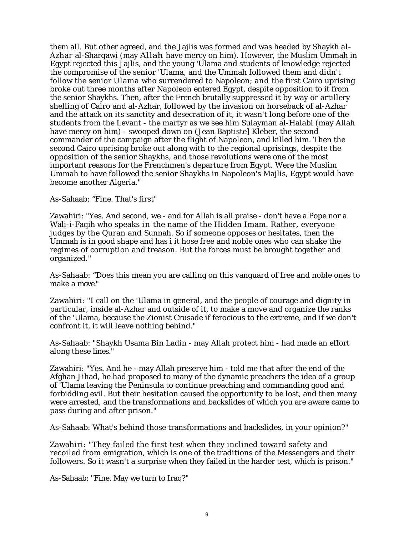them all. But other agreed, and the Jajlis was formed and was headed by Shaykh al-Azhar al-Sharqawi (may Allah have mercy on him). However, the Muslim Ummah in Egypt rejected this Jajlis, and the young 'Ulama and students of knowledge rejected the compromise of the senior 'Ulama, and the Ummah followed them and didn't follow the senior Ulama who surrendered to Napoleon; and the first Cairo uprising broke out three months after Napoleon entered Egypt, despite opposition to it from the senior Shaykhs. Then, after the French brutally suppressed it by way or artillery shelling of Cairo and al-Azhar, followed by the invasion on horseback of al-Azhar and the attack on its sanctity and desecration of it, it wasn't long before one of the students from the Levant - the martyr as we see him Sulayman al-Halabi (may Allah have mercy on him) - swooped down on (Jean Baptiste] Kleber, the second commander of the campaign after the flight of Napoleon, and killed him. Then the second Cairo uprising broke out along with to the regional uprisings, despite the opposition of the senior Shaykhs, and those revolutions were one of the most important reasons for the Frenchmen's departure from Egypt. Were the Muslim Ummah to have followed the senior Shaykhs in Napoleon's Majlis, Egypt would have become another Algeria."

As-Sahaab: "Fine. That's first"

Zawahiri: "Yes. And second, we - and for Allah is all praise - don't have a Pope nor a Wali-i-Faqih who speaks in the name of the Hidden Imam. Rather, everyone judges by the Quran and Sunnah. So if someone opposes or hesitates, then the Ummah is in good shape and has i it hose free and noble ones who can shake the regimes of corruption and treason. But the forces must be brought together and organized."

As-Sahaab: "Does this mean you are calling on this vanguard of free and noble ones to make a move."

Zawahiri: "I call on the 'Ulama in general, and the people of courage and dignity in particular, inside al-Azhar and outside of it, to make a move and organize the ranks of the 'Ulama, because the Zionist Crusade if ferocious to the extreme, and if we don't confront it, it will leave nothing behind."

As-Sahaab: "Shaykh Usama Bin Ladin - may Allah protect him - had made an effort along these lines."

Zawahiri: "Yes. And he - may Allah preserve him - told me that after the end of the Afghan Jihad, he had proposed to many of the dynamic preachers the idea of a group of 'Ulama leaving the Peninsula to continue preaching and commanding good and forbidding evil. But their hesitation caused the opportunity to be lost, and then many were arrested, and the transformations and backslides of which you are aware came to pass during and after prison."

As-Sahaab: What's behind those transformations and backslides, in your opinion?"

Zawahiri: "They failed the first test when they inclined toward safety and recoiled from emigration, which is one of the traditions of the Messengers and their followers. So it wasn't a surprise when they failed in the harder test, which is prison."

As-Sahaab: "Fine. May we turn to Iraq?"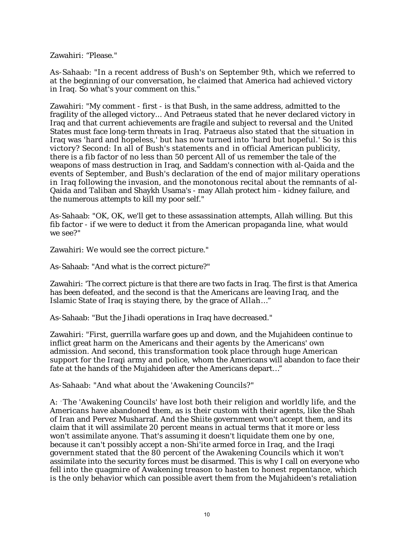Zawahiri: "Please."

As-Sahaab: "In a recent address of Bush's on September 9th, which we referred to at the beginning of our conversation, he claimed that America had achieved victory in Iraq. So what's your comment on this."

Zawahiri: "My comment - first - is that Bush, in the same address, admitted to the fragility of the alleged victory... And Petraeus stated that he never declared victory in Iraq and that current achievements are fragile and subject to reversal and the United States must face long-term threats in Iraq. Patraeus also stated that the situation in Iraq was 'hard and hopeless,' but has now turned into 'hard but hopeful.' So is this victory? Second: In all of Bush's statements and in official American publicity, there is a fib factor of no less than 50 percent All of us remember the tale of the weapons of mass destruction in Iraq, and Saddam's connection with al-Qaida and the events of September, and Bush's declaration of the end of major military operations in Iraq following the invasion, and the monotonous recital about the remnants of al-Qaida and Taliban and Shaykh Usama's - may Allah protect him - kidney failure, and the numerous attempts to kill my poor self."

As-Sahaab: "OK, OK, we'll get to these assassination attempts, Allah willing. But this fib factor - if we were to deduct it from the American propaganda line, what would we see?"

Zawahiri: We would see the correct picture."

As-Sahaab: "And what is the correct picture?"

Zawahiri: 'The correct picture is that there are two facts in Iraq. The first is that America has been defeated, and the second is that the Americans are leaving Iraq, and the Islamic State of Iraq is staying there, by the grace of Allah…"

As-Sahaab: "But the Jihadi operations in Iraq have decreased."

Zawahiri: "First, guerrilla warfare goes up and down, and the Mujahideen continue to inflict great harm on the Americans and their agents by the Americans' own admission. And second, this transformation took place through huge American support for the Iraqi army and police, whom the Americans will abandon to face their fate at the hands of the Mujahideen after the Americans depart…"

As-Sahaab: "And what about the 'Awakening Councils?"

A: -The 'Awakening Councils' have lost both their religion and worldly life, and the Americans have abandoned them, as is their custom with their agents, like the Shah of Iran and Pervez Musharraf. And the Shiite government won't accept them, and its claim that it will assimilate 20 percent means in actual terms that it more or less won't assimilate anyone. That's assuming it doesn't liquidate them one by one, because it can't possibly accept a non-Shi'ite armed force in Iraq, and the Iraqi government stated that the 80 percent of the Awakening Councils which it won't assimilate into the security forces must be disarmed. This is why I call on everyone who fell into the quagmire of Awakening treason to hasten to honest repentance, which is the only behavior which can possible avert them from the Mujahideen's retaliation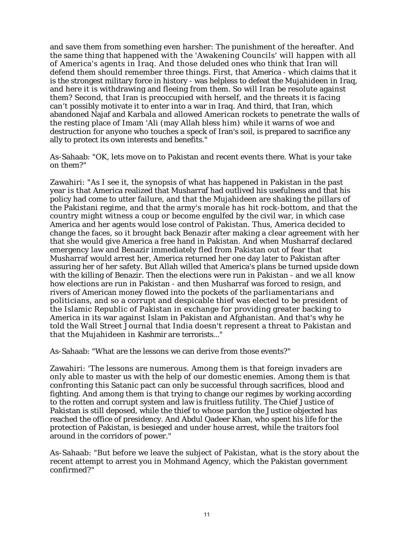and save them from something even harsher: The punishment of the hereafter. And the same thing that happened with the 'Awakening Councils' will happen with all of America's agents in Iraq. And those deluded ones who think that Iran will defend them should remember three things. First, that America - which claims that it is the strongest military force in history - was helpless to defeat the Mujahideen in Iraq, and here it is withdrawing and fleeing from them. So will Iran be resolute against them? Second, that Iran is preoccupied with herself, and the threats it is facing can't possibly motivate it to enter into a war in Iraq. And third, that Iran, which abandoned Najaf and Karbala and allowed American rockets to penetrate the walls of the resting place of Imam 'Ali (may Allah bless him) while it warns of woe and destruction for anyone who touches a speck of Iran's soil, is prepared to sacrifice any ally to protect its own interests and benefits."

As-Sahaab: "OK, lets move on to Pakistan and recent events there. What is your take on them?"

Zawahiri: "As I see it, the synopsis of what has happened in Pakistan in the past year is that America realized that Musharraf had outlived his usefulness and that his policy had come to utter failure, and that the Mujahideen are shaking the pillars of the Pakistani regime, and that the army's morale has hit rock-bottom, and that the country might witness a coup or become engulfed by the civil war, in which case America and her agents would lose control of Pakistan. Thus, America decided to change the faces, so it brought back Benazir after making a clear agreement with her that she would give America a free hand in Pakistan. And when Musharraf declared emergency law and Benazir immediately fled from Pakistan out of fear that Musharraf would arrest her, America returned her one day later to Pakistan after assuring her of her safety. But Allah willed that America's plans be turned upside down with the killing of Benazir. Then the elections were run in Pakistan - and we all know how elections are run in Pakistan - and then Musharraf was forced to resign, and rivers of American money flowed into the pockets of the parliamentarians and politicians, and so a corrupt and despicable thief was elected to be president of the Islamic Republic of Pakistan in exchange for providing greater backing to America in its war against Islam in Pakistan and Afghanistan. And that's why he told the Wall Street Journal that India doesn't represent a threat to Pakistan and that the Mujahideen in Kashmir are terrorists..."

As-Sahaab: "What are the lessons we can derive from those events?"

Zawahiri: 'The lessons are numerous. Among them is that foreign invaders are only able to master us with the help of our domestic enemies. Among them is that confronting this Satanic pact can only be successful through sacrifices, blood and fighting. And among them is that trying to change our regimes by working according to the rotten and corrupt system and law is fruitless futility. The Chief Justice of Pakistan is still deposed, while the thief to whose pardon the Justice objected has reached the office of presidency. And Abdul Qadeer Khan, who spent his life for the protection of Pakistan, is besieged and under house arrest, while the traitors fool around in the corridors of power."

As-Sahaab: "But before we leave the subject of Pakistan, what is the story about the recent attempt to arrest you in Mohmand Agency, which the Pakistan government confirmed?"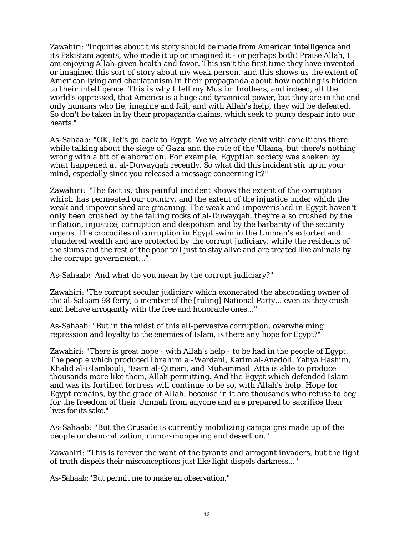Zawahiri: "Inquiries about this story should be made from American intelligence and its Pakistani agents, who made it up or imagined it - or perhaps both! Praise Allah, I am enjoying Allah-given health and favor. This isn't the first time they have invented or imagined this sort of story about my weak person, and this shows us the extent of American lying and charlatanism in their propaganda about how nothing is hidden to their intelligence. This is why I tell my Muslim brothers, and indeed, all the world's oppressed, that America is a huge and tyrannical power, but they are in the end only humans who lie, imagine and fail, and with Allah's help, they will be defeated. So don't be taken in by their propaganda claims, which seek to pump despair into our hearts."

As-Sahaab: "OK, let's go back to Egypt. We've already dealt with conditions there while talking about the siege of Gaza and the role of the 'Ulama, but there's nothing wrong with a bit of elaboration. For example, Egyptian society was shaken by what happened at al-Duwaygah recently. So what did this incident stir up in your mind, especially since you released a message concerning it?"

Zawahiri: "The fact is, this painful incident shows the extent of the corruption which has permeated our country, and the extent of the injustice under which the weak and impoverished are groaning. The weak and impoverished in Egypt haven't only been crushed by the falling rocks of al-Duwayqah, they're also crushed by the inflation, injustice, corruption and despotism and by the barbarity of the security organs. The crocodiles of corruption in Egypt swim in the Ummah's extorted and plundered wealth and are protected by the corrupt judiciary, while the residents of the slums and the rest of the poor toil just to stay alive and are treated like animals by the corrupt government…"

As-Sahaab: 'And what do you mean by the corrupt judiciary?"

Zawahiri: 'The corrupt secular judiciary which exonerated the absconding owner of the al-Salaam 98 ferry, a member of the [ruling] National Party... even as they crush and behave arrogantly with the free and honorable ones..."

As-Sahaab: "But in the midst of this all-pervasive corruption, overwhelming repression and loyalty to the enemies of Islam, is there any hope for Egypt?"

Zawahiri: "There is great hope - with Allah's help - to be had in the people of Egypt. The people which produced Ibrahim al-Wardani, Karim al-Anadoli, Yahya Hashim, Khalid al-islambouli, 'Isarn al-Qimari, and Muhammad 'Atta is able to produce thousands more like them, Allah permitting. And the Egypt which defended Islam and was its fortified fortress will continue to be so, with Allah's help. Hope for Egypt remains, by the grace of Allah, because in it are thousands who refuse to beg for the freedom of their Ummah from anyone and are prepared to sacrifice their lives for its sake."

As-Sahaab: "But the Crusade is currently mobilizing campaigns made up of the people or demoralization, rumor-mongering and desertion."

Zawahiri: "This is forever the wont of the tyrants and arrogant invaders, but the light of truth dispels their misconceptions just like light dispels darkness..."

As-Sahaab: 'But permit me to make an observation."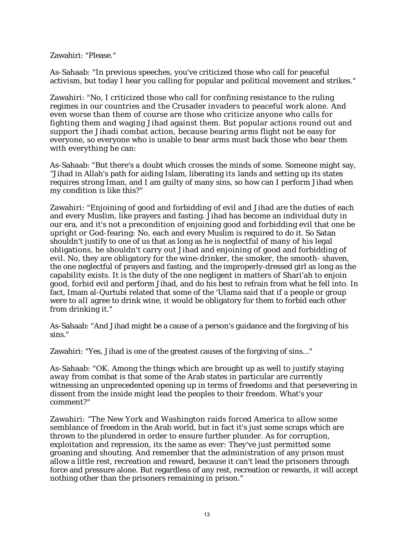Zawahiri: "Please."

As-Sahaab: "In previous speeches, you've criticized those who call for peaceful activism, but today I hear you calling for popular and political movement and strikes."

Zawahiri: "No, I criticized those who call for confining resistance to the ruling regimes in our countries and the Crusader invaders to peaceful work alone. And even worse than them of course are those who criticize anyone who calls for fighting them and waging Jihad against them. But popular actions round out and support the Jihadi combat action, because bearing arms flight not be easy for everyone, so everyone who is unable to bear arms must back those who bear them with everything he can:

As-Sahaab: "But there's a doubt which crosses the minds of some. Someone might say, "Jihad in Allah's path for aiding Islam, liberating its lands and setting up its states requires strong Iman, and I am guilty of many sins, so how can I perform Jihad when my condition is like this?"

Zawahiri: "Enjoining of good and forbidding of evil and Jihad are the duties of each and every Muslim, like prayers and fasting. Jihad has become an individual duty in our era, and it's not a precondition of enjoining good and forbidding evil that one be upright or God-fearing: No, each and every Muslim is required to do it. So Satan shouldn't justify to one of us that as long as he is neglectful of many of his legal obligations, he shouldn't carry out Jihad and enjoining of good and forbidding of evil. No, they are obligatory for the wine-drinker, the smoker, the smooth- shaven, the one neglectful of prayers and fasting, and the improperly-dressed girl as long as the capability exists. It is the duty of the one negligent in matters of Shari'ah to enjoin good, forbid evil and perform Jihad, and do his best to refrain from what he fell into. In fact, Imam al-Qurtubi related that some of the 'Ulama said that if a people or group were to all agree to drink wine, it would be obligatory for them to forbid each other from drinking it."

As-Sahaab: "And Jihad might be a cause of a person's guidance and the forgiving of his sins."

Zawahiri: "Yes, Jihad is one of the greatest causes of the forgiving of sins..."

As-Sahaab: "OK. Among the things which are brought up as well to justify staying away from combat is that some of the Arab states in particular are currently witnessing an unprecedented opening up in terms of freedoms and that persevering in dissent from the inside might lead the peoples to their freedom. What's your comment?"

Zawahiri: "The New York and Washington raids forced America to allow some semblance of freedom in the Arab world, but in fact it's just some scraps which are thrown to the plundered in order to ensure further plunder. As for corruption, exploitation and repression, its the same as ever: They've just permitted some groaning and shouting. And remember that the administration of any prison must allow a little rest, recreation and reward, because it can't lead the prisoners through force and pressure alone. But regardless of any rest, recreation or rewards, it will accept nothing other than the prisoners remaining in prison."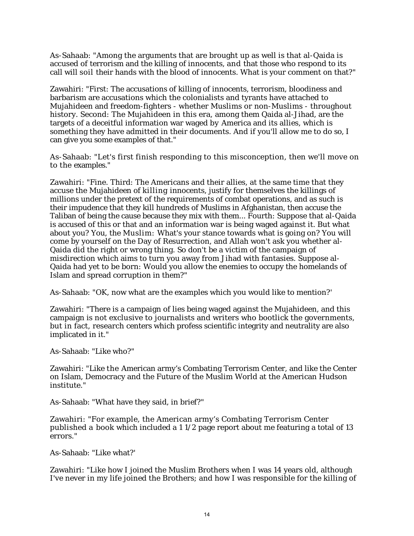As-Sahaab: "Among the arguments that are brought up as well is that al-Qaida is accused of terrorism and the killing of innocents, and that those who respond to its call will soil their hands with the blood of innocents. What is your comment on that?"

Zawahiri: "First: The accusations of killing of innocents, terrorism, bloodiness and barbarism are accusations which the colonialists and tyrants have attached to Mujahideen and freedom-fighters - whether Muslims or non-Muslims - throughout history. Second: The Mujahideen in this era, among them Qaida al-Jihad, are the targets of a deceitful information war waged by America and its allies, which is something they have admitted in their documents. And if you'll allow me to do so, I can give you some examples of that."

As-Sahaab: "Let's first finish responding to this misconception, then we'll move on to the examples."

Zawahiri: "Fine. Third: The Americans and their allies, at the same time that they accuse the Mujahideen of killing innocents, justify for themselves the killings of millions under the pretext of the requirements of combat operations, and as such is their impudence that they kill hundreds of Muslims in Afghanistan, then accuse the Taliban of being the cause because they mix with them... Fourth: Suppose that al-Qaida is accused of this or that and an information war is being waged against it. But what about you? You, the Muslim: What's your stance towards what is going on? You will come by yourself on the Day of Resurrection, and Allah won't ask you whether al-Qaida did the right or wrong thing. So don't be a victim of the campaign of misdirection which aims to turn you away from Jihad with fantasies. Suppose al-Qaida had yet to be born: Would you allow the enemies to occupy the homelands of Islam and spread corruption in them?"

As-Sahaab: "OK, now what are the examples which you would like to mention?'

Zawahiri: "There is a campaign of lies being waged against the Mujahideen, and this campaign is not exclusive to journalists and writers who bootlick the governments, but in fact, research centers which profess scientific integrity and neutrality are also implicated in it."

As-Sahaab: "Like who?"

Zawahiri: "Like the American army's Combating Terrorism Center, and like the Center on Islam, Democracy and the Future of the Muslim World at the American Hudson institute."

As-Sahaab: "What have they said, in brief?"

Zawahiri: "For example, the American army's Combating Terrorism Center published a book which included a 1 1/2 page report about me featuring a total of 13 errors."

As-Sahaab: "Like what?'

Zawahiri: "Like how I joined the Muslim Brothers when I was 14 years old, although I've never in my life joined the Brothers; and how I was responsible for the killing of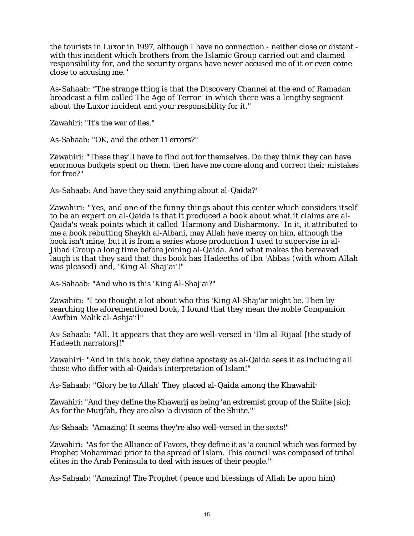the tourists in Luxor in 1997, although I have no connection - neither close or distant with this incident which brothers from the Islamic Group carried out and claimed responsibility for, and the security organs have never accused me of it or even come close to accusing me."

As-Sahaab: "The strange thing is that the Discovery Channel at the end of Ramadan broadcast a film called The Age of Terror' in which there was a lengthy segment about the Luxor incident and your responsibility for it."

Zawahiri: "It's the war of lies."

As-Sahaab: "OK, and the other 11 errors?"

Zawahiri: "These they'll have to find out for themselves. Do they think they can have enormous budgets spent on them, then have me come along and correct their mistakes for free?"

As-Sahaab: And have they said anything about al-Qaida?"

Zawahiri: "Yes, and one of the funny things about this center which considers itself to be an expert on al-Qaida is that it produced a book about what it claims are al-Qaida's weak points which it called 'Harmony and Disharmony.' In it, it attributed to me a book rebutting Shaykh al-Albani, may Allah have mercy on him, although the book isn't mine, but it is from a series whose production I used to supervise in al-Jihad Group a long time before joining al-Qaida. And what makes the bereaved laugh is that they said that this book has Hadeeths of ibn 'Abbas (with whom Allah was pleased) and, 'King Al-Shaj'ai'!"

As-Sahaab: "And who is this 'King Al-Shaj'ai?"

Zawahiri: "I too thought a lot about who this 'King Al-Shaj'ar might be. Then by searching the aforementioned book, I found that they mean the noble Companion 'Awfbin Malik al-Ashja'il"

As-Sahaab: "All. It appears that they are well-versed in 'Ilm al-Rijaal [the study of Hadeeth narrators]!"

Zawahiri: "And in this book, they define apostasy as al-Qaida sees it as including all those who differ with al-Qaida's interpretation of Islam!"

As-Sahaab: "Glory be to Allah' They placed al-Qaida among the Khawahil-

Zawahiri: "And they define the Khawarij as being 'an extremist group of the Shiite [sic]; As for the Murjfah, they are also 'a division of the Shiite.'"

As-Sahaab: "Amazing! It seems they're also well-versed in the sects!"

Zawahiri: "As for the Alliance of Favors, they define it as 'a council which was formed by Prophet Mohammad prior to the spread of Islam. This council was composed of tribal elites in the Arab Peninsula to deal with issues of their people.'"

As-Sahaab: "Amazing! The Prophet (peace and blessings of Allah be upon him)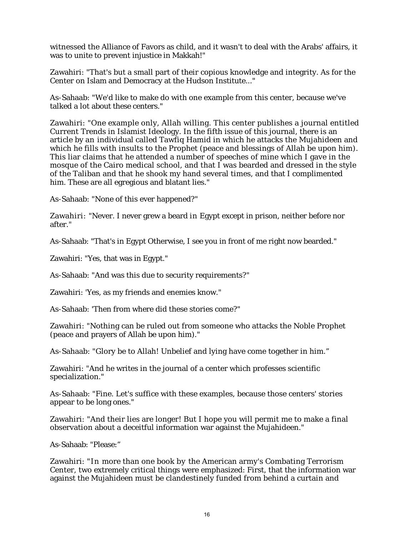witnessed the Alliance of Favors as child, and it wasn't to deal with the Arabs' affairs, it was to unite to prevent injustice in Makkah!"

Zawahiri: "That's but a small part of their copious knowledge and integrity. As for the Center on Islam and Democracy at the Hudson Institute..."

As-Sahaab: "We'd like to make do with one example from this center, because we've talked a lot about these centers."

Zawahiri: "One example only, Allah willing. This center publishes a journal entitled Current Trends in Islamist Ideology. In the fifth issue of this journal, there is an article by an individual called Tawfiq Hamid in which he attacks the Mujahideen and which he fills with insults to the Prophet (peace and blessings of Allah be upon him). This liar claims that he attended a number of speeches of mine which I gave in the mosque of the Cairo medical school, and that I was bearded and dressed in the style of the Taliban and that he shook my hand several times, and that I complimented him. These are all egregious and blatant lies."

As-Sahaab: "None of this ever happened?"

Zawahiri: "Never. I never grew a beard in Egypt except in prison, neither before nor after."

As-Sahaab: "That's in Egypt Otherwise, I see you in front of me right now bearded."

Zawahiri: "Yes, that was in Egypt."

As-Sahaab: "And was this due to security requirements?"

Zawahiri: 'Yes, as my friends and enemies know."

As-Sahaab: 'Then from where did these stories come?"

Zawahiri: "Nothing can be ruled out from someone who attacks the Noble Prophet (peace and prayers of Allah be upon him)."

As-Sahaab: "Glory be to Allah! Unbelief and lying have come together in him."

Zawahiri: "And he writes in the journal of a center which professes scientific specialization."

As-Sahaab: "Fine. Let's suffice with these examples, because those centers' stories appear to be long ones."

Zawahiri: "And their lies are longer! But I hope you will permit me to make a final observation about a deceitful information war against the Mujahideen."

As-Sahaab: "Please:"

Zawahiri: "In more than one book by the American army's Combating Terrorism Center, two extremely critical things were emphasized: First, that the information war against the Mujahideen must be clandestinely funded from behind a curtain and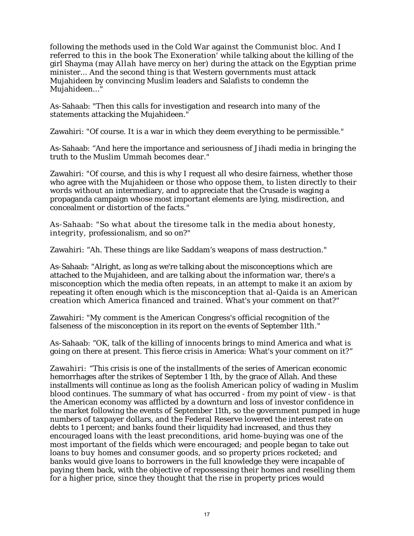following the methods used in the Cold War against the Communist bloc. And I referred to this in the book The Exoneration' while talking about the killing of the girl Shayma (may Allah have mercy on her) during the attack on the Egyptian prime minister... And the second thing is that Western governments must attack Mujahideen by convincing Muslim leaders and Salafists to condemn the Mujahideen..."

As-Sahaab: "Then this calls for investigation and research into many of the statements attacking the Mujahideen."

Zawahiri: "Of course. It is a war in which they deem everything to be permissible."

As-Sahaab: "And here the importance and seriousness of Jihadi media in bringing the truth to the Muslim Ummah becomes dear."

Zawahiri: "Of course, and this is why I request all who desire fairness, whether those who agree with the Mujahideen or those who oppose them, to listen directly to their words without an intermediary, and to appreciate that the Crusade is waging a propaganda campaign whose most important elements are lying, misdirection, and concealment or distortion of the facts."

As-Sahaab: "So what about the tiresome talk in the media about honesty, integrity, professionalism, and so on?"

Zawahiri: "Ah. These things are like Saddam's weapons of mass destruction."

As-Sahaab: "Alright, as long as we're talking about the misconceptions which are attached to the Mujahideen, and are talking about the information war, there's a misconception which the media often repeats, in an attempt to make it an axiom by repeating it often enough which is the misconception that al-Qaida is an American creation which America financed and trained. What's your comment on that?"

Zawahiri: "My comment is the American Congress's official recognition of the falseness of the misconception in its report on the events of September 11th."

As-Sahaab: "OK, talk of the killing of innocents brings to mind America and what is going on there at present. This fierce crisis in America: What's your comment on it?"

Zawahiri: "This crisis is one of the installments of the series of American economic hemorrhages after the strikes of September 1 1th, by the grace of Allah. And these installments will continue as long as the foolish American policy of wading in Muslim blood continues. The summary of what has occurred - from my point of view - is that the American economy was afflicted by a downturn and loss of investor confidence in the market following the events of September 11th, so the government pumped in huge numbers of taxpayer dollars, and the Federal Reserve lowered the interest rate on debts to 1 percent; and banks found their liquidity had increased, and thus they encouraged loans with the least preconditions, arid home-buying was one of the most important of the fields which were encouraged; and people began to take out loans to buy homes and consumer goods, and so property prices rocketed; and banks would give loans to borrowers in the full knowledge they were incapable of paying them back, with the objective of repossessing their homes and reselling them for a higher price, since they thought that the rise in property prices would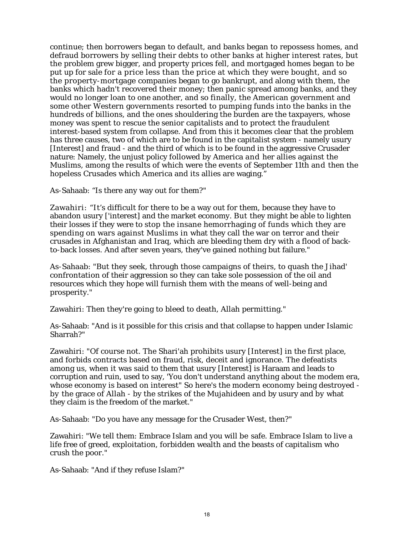continue; then borrowers began to default, and banks began to repossess homes, and defraud borrowers by selling their debts to other banks at higher interest rates, but the problem grew bigger, and property prices fell, and mortgaged homes began to be put up for sale for a price less than the price at which they were bought, and so the property-mortgage companies began to go bankrupt, and along with them, the banks which hadn't recovered their money; then panic spread among banks, and they would no longer loan to one another, and so finally, the American government and some other Western governments resorted to pumping funds into the banks in the hundreds of billions, and the ones shouldering the burden are the taxpayers, whose money was spent to rescue the senior capitalists and to protect the fraudulent interest-based system from collapse. And from this it becomes clear that the problem has three causes, two of which are to be found in the capitalist system - namely usury [Interest] and fraud - and the third of which is to be found in the aggressive Crusader nature: Namely, the unjust policy followed by America and her allies against the Muslims, among the results of which were the events of September 11th and then the hopeless Crusades which America and its allies are waging."

As-Sahaab: "Is there any way out for them?"

Zawahiri: "It's difficult for there to be a way out for them, because they have to abandon usury ['interest] and the market economy. But they might be able to lighten their losses if they were to stop the insane hemorrhaging of funds which they are spending on wars against Muslims in what they call the war on terror and their crusades in Afghanistan and Iraq, which are bleeding them dry with a flood of backto-back losses. And after seven years, they've gained nothing but failure."

As-Sahaab: "But they seek, through those campaigns of theirs, to quash the Jihad' confrontation of their aggression so they can take sole possession of the oil and resources which they hope will furnish them with the means of well-being and prosperity."

Zawahiri: Then they're going to bleed to death, Allah permitting."

As-Sahaab: "And is it possible for this crisis and that collapse to happen under Islamic Sharrah?"

Zawahiri: "Of course not. The Shari'ah prohibits usury [Interest] in the first place, and forbids contracts based on fraud, risk, deceit and ignorance. The defeatists among us, when it was said to them that usury [Interest] is Haraam and leads to corruption and ruin, used to say, 'You don't understand anything about the modem era, whose economy is based on interest" So here's the modern economy being destroyed by the grace of Allah - by the strikes of the Mujahideen and by usury and by what they claim is the freedom of the market."

As-Sahaab: "Do you have any message for the Crusader West, then?"

Zawahiri: "We tell them: Embrace Islam and you will be safe. Embrace Islam to live a life free of greed, exploitation, forbidden wealth and the beasts of capitalism who crush the poor."

As-Sahaab: "And if they refuse Islam?"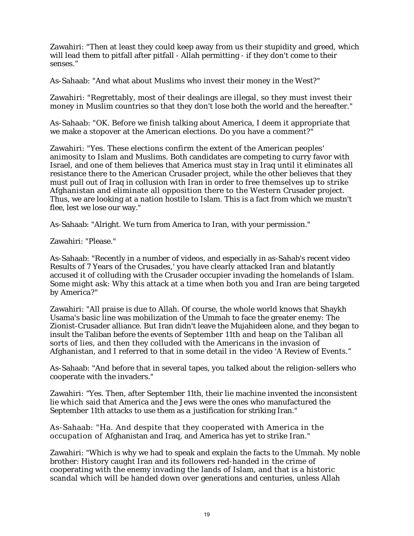Zawahiri: "Then at least they could keep away from us their stupidity and greed, which will lead them to pitfall after pitfall - Allah permitting - if they don't come to their senses."

As-Sahaab: "And what about Muslims who invest their money in the West?"

Zawahiri: "Regrettably, most of their dealings are illegal, so they must invest their money in Muslim countries so that they don't lose both the world and the hereafter."

As-Sahaab: "OK. Before we finish talking about America, I deem it appropriate that we make a stopover at the American elections. Do you have a comment?"

Zawahiri: "Yes. These elections confirm the extent of the American peoples' animosity to Islam and Muslims. Both candidates are competing to curry favor with Israel, and one of them believes that America must stay in Iraq until it eliminates all resistance there to the American Crusader project, while the other believes that they must pull out of Iraq in collusion with Iran in order to free themselves up to strike Afghanistan and eliminate all opposition there to the Western Crusader project. Thus, we are looking at a nation hostile to Islam. This is a fact from which we mustn't flee, lest we lose our way."

As-Sahaab: "Alright. We turn from America to Iran, with your permission."

Zawahiri: "Please."

As-Sahaab: "Recently in a number of videos, and especially in as-Sahab's recent video Results of 7 Years of the Crusades,' you have clearly attacked Iran and blatantly accused it of colluding with the Crusader occupier invading the homelands of Islam. Some might ask: Why this attack at a time when both you and Iran are being targeted by America?"

Zawahiri: "All praise is due to Allah. Of course, the whole world knows that Shaykh Usama's basic line was mobilization of the Ummah to face the greater enemy: The Zionist-Crusader alliance. But Iran didn't leave the Mujahideen alone, and they began to insult the Taliban before the events of September 11th and heap on the Taliban all sorts of lies, and then they colluded with the Americans in the invasion of Afghanistan, and I referred to that in some detail in the video 'A Review of Events."

As-Sahaab: "And before that in several tapes, you talked about the religion-sellers who cooperate with the invaders."

Zawahiri: "Yes. Then, after September 11th, their lie machine invented the inconsistent lie which said that America and the Jews were the ones who manufactured the September 11th attacks to use them as a justification for striking Iran."

As-Sahaab: "Ha. And despite that they cooperated with America in the occupation of Afghanistan and Iraq, and America has yet to strike Iran."

Zawahiri: "Which is why we had to speak and explain the facts to the Ummah. My noble brother: History caught Iran and its followers red-handed in the crime of cooperating with the enemy invading the lands of Islam, and that is a historic scandal which will be handed down over generations and centuries, unless Allah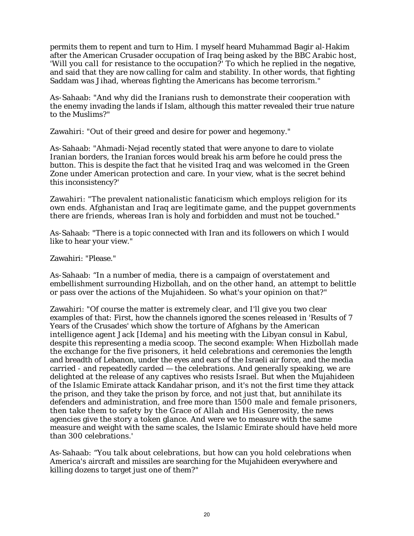permits them to repent and turn to Him. I myself heard Muhammad Bagir al-Hakim after the American Crusader occupation of Iraq being asked by the BBC Arabic host, 'Will you call for resistance to the occupation?' To which he replied in the negative, and said that they are now calling for calm and stability. In other words, that fighting Saddam was Jihad, whereas fighting the Americans has become terrorism."

As-Sahaab: "And why did the Iranians rush to demonstrate their cooperation with the enemy invading the lands if Islam, although this matter revealed their true nature to the Muslims?"

Zawahiri: "Out of their greed and desire for power and hegemony."

As-Sahaab: "Ahmadi-Nejad recently stated that were anyone to dare to violate Iranian borders, the Iranian forces would break his arm before he could press the button. This is despite the fact that he visited Iraq and was welcomed in the Green Zone under American protection and care. In your view, what is the secret behind this inconsistency?'

Zawahiri: "The prevalent nationalistic fanaticism which employs religion for its own ends. Afghanistan and Iraq are legitimate game, and the puppet governments there are friends, whereas Iran is holy and forbidden and must not be touched."

As-Sahaab: "There is a topic connected with Iran and its followers on which I would like to hear your view."

Zawahiri: "Please."

As-Sahaab: "In a number of media, there is a campaign of overstatement and embellishment surrounding Hizbollah, and on the other hand, an attempt to belittle or pass over the actions of the Mujahideen. So what's your opinion on that?"

Zawahiri: "Of course the matter is extremely clear, and I'll give you two clear examples of that: First, how the channels ignored the scenes released in 'Results of 7 Years of the Crusades' which show the torture of Afghans by the American intelligence agent Jack [Idema] and his meeting with the Libyan consul in Kabul, despite this representing a media scoop. The second example: When Hizbollah made the exchange for the five prisoners, it held celebrations and ceremonies the length and breadth of Lebanon, under the eyes and ears of the Israeli air force, and the media carried - and repeatedly carded — the celebrations. And generally speaking, we are delighted at the release of any captives who resists Israel. But when the Mujahideen of the Islamic Emirate attack Kandahar prison, and it's not the first time they attack the prison, and they take the prison by force, and not just that, but annihilate its defenders and administration, and free more than 1500 male and female prisoners, then take them to safety by the Grace of Allah and His Generosity, the news agencies give the story a token glance. And were we to measure with the same measure and weight with the same scales, the Islamic Emirate should have held more than 300 celebrations.'

As-Sahaab: "You talk about celebrations, but how can you hold celebrations when America's aircraft and missiles are searching for the Mujahideen everywhere and killing dozens to target just one of them?"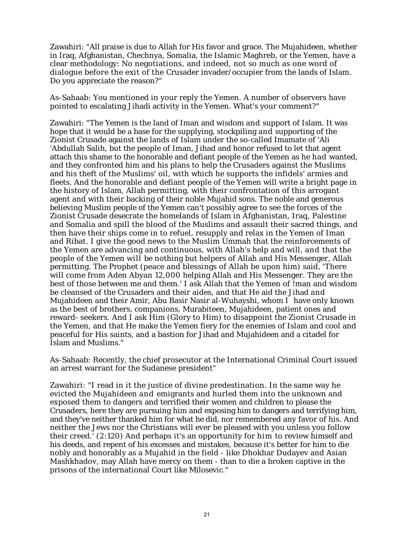Zawahiri: "All praise is due to Allah for His favor and grace. The Mujahideen, whether in Iraq, Afghanistan, Chechnya, Somalia, the Islamic Maghreb, or the Yemen, have a clear methodology: No negotiations, and indeed, not so much as one word of dialogue before the exit of the Crusader invader/occupier from the lands of Islam. Do you appreciate the reason?"

As-Sahaab: You mentioned in your reply the Yemen. A number of observers have pointed to escalating Jihadi activity in the Yemen. What's your comment?"

Zawahiri: "The Yemen is the land of Iman and wisdom and support of Islam. It was hope that it would be a base for the supplying, stockpiling and supporting of the Zionist Crusade against the lands of Islam under the so-called Imamate of 'Ali 'Abdullah Salih, but the people of Iman, Jihad and honor refused to let that agent attach this shame to the honorable and defiant people of the Yemen as he had wanted, and they confronted him and his plans to help the Crusaders against the Muslims and his theft of the Muslims' oil, with which he supports the infidels' armies and fleets. And the honorable and defiant people of the Yemen will write a bright page in the history of Islam, Allah permitting, with their confrontation of this arrogant agent and with their backing of their noble Mujahid sons. The noble and generous believing Muslim people of the Yemen can't possibly agree to see the forces of the Zionist Crusade desecrate the homelands of Islam in Afghanistan, Iraq, Palestine and Somalia and spill the blood of the Muslims and assault their sacred things, and then have their ships come in to refuel, resupply and relax in the Yemen of Iman and Ribat. I give the good news to the Muslim Ummah that the reinforcements of the Yemen are advancing and continuous, with Allah's help and will, and that the people of the Yemen will be nothing but helpers of Allah and His Messenger, Allah permitting. The Prophet (peace and blessings of Allah be upon him) said, 'There will come from Aden Abyan 12,000 helping Allah and His Messenger. They are the best of those between me and them.' I ask Allah that the Yemen of !man and wisdom be cleansed of the Crusaders and their aides, and that He aid the Jihad and Mujahideen and their Amir, Abu Basir Nasir al-Wuhayshi, whom I have only known as the best of brothers, companions, Murabiteen, Mujahideen, patient ones and reward- seekers. And I ask Him (Glory to Him) to disappoint the Zionist Crusade in the Yemen, and that He make the Yemen fiery for the enemies of Islam and cool and peaceful for His saints, and a bastion for Jihad and Mujahideen and a citadel for Islam and Muslims."

As-Sahaab: Recently, the chief prosecutor at the International Criminal Court issued an arrest warrant for the Sudanese president"

Zawahiri: "I read in it the justice of divine predestination. In the same way he evicted the Mujahideen and emigrants and hurled them into the unknown and exposed them to dangers and terrified their women and children to please the Crusaders, here they are pursuing him and exposing him to dangers and terrifying him, and they've neither thanked him for what he did, nor remembered any favor of his. And neither the Jews nor the Christians will ever be pleased with you unless you follow their creed.' (2:120) And perhaps it's an opportunity for him to review himself and his deeds, and repent of his excesses and mistakes, because it's better for him to die nobly and honorably as a Mujahid in the field - like Dhokhar Dudayev and Asian Mashkhadov, may Allah have mercy on them - than to die a broken captive in the prisons of the international Court like Milosevic."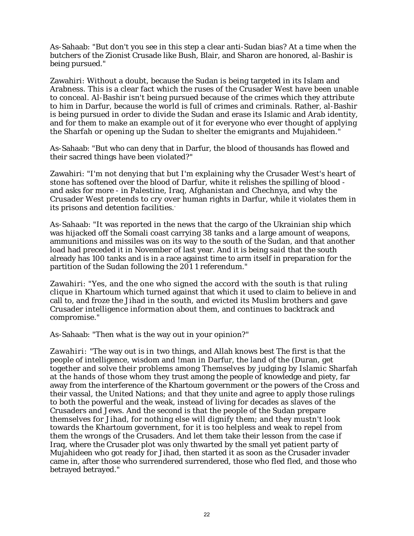As-Sahaab: "But don't you see in this step a clear anti-Sudan bias? At a time when the butchers of the Zionist Crusade like Bush, Blair, and Sharon are honored, al-Bashir is being pursued."

Zawahiri: Without a doubt, because the Sudan is being targeted in its Islam and Arabness. This is a clear fact which the ruses of the Crusader West have been unable to conceal. Al-Bashir isn't being pursued because of the crimes which they attribute to him in Darfur, because the world is full of crimes and criminals. Rather, al-Bashir is being pursued in order to divide the Sudan and erase its Islamic and Arab identity, and for them to make an example out of it for everyone who ever thought of applying the Sharfah or opening up the Sudan to shelter the emigrants and Mujahideen."

As-Sahaab: "But who can deny that in Darfur, the blood of thousands has flowed and their sacred things have been violated?"

Zawahiri: "I'm not denying that but I'm explaining why the Crusader West's heart of stone has softened over the blood of Darfur, white it relishes the spilling of blood and asks for more - in Palestine, Iraq, Afghanistan and Chechnya, and why the Crusader West pretends to cry over human rights in Darfur, while it violates them in its prisons and detention facilities.

As-Sahaab: "It was reported in the news that the cargo of the Ukrainian ship which was hijacked off the Somali coast carrying 38 tanks and a large amount of weapons, ammunitions and missiles was on its way to the south of the Sudan, and that another load had preceded it in November of last year. And it is being said that the south already has 100 tanks and is in a race against time to arm itself in preparation for the partition of the Sudan following the 201 1 referendum."

Zawahiri: "Yes, and the one who signed the accord with the south is that ruling clique in Khartoum which turned against that which it used to claim to believe in and call to, and froze the Jihad in the south, and evicted its Muslim brothers and gave Crusader intelligence information about them, and continues to backtrack and compromise."

As-Sahaab: "Then what is the way out in your opinion?"

Zawahiri: "The way out is in two things, and Allah knows best The first is that the people of intelligence, wisdom and !man in Darfur, the land of the (Duran, get together and solve their problems among Themselves by judging by Islamic Sharfah at the hands of those whom they trust among the people of knowledge and piety, far away from the interference of the Khartoum government or the powers of the Cross and their vassal, the United Nations; and that they unite and agree to apply those rulings to both the powerful and the weak, instead of living for decades as slaves of the Crusaders and Jews. And the second is that the people of the Sudan prepare themselves for Jihad, for nothing else will dignify them; and they mustn't look towards the Khartoum government, for it is too helpless and weak to repel from them the wrongs of the Crusaders. And let them take their lesson from the case if Iraq, where the Crusader plot was only thwarted by the small yet patient party of Mujahideen who got ready for Jihad, then started it as soon as the Crusader invader came in, after those who surrendered surrendered, those who fled fled, and those who betrayed betrayed."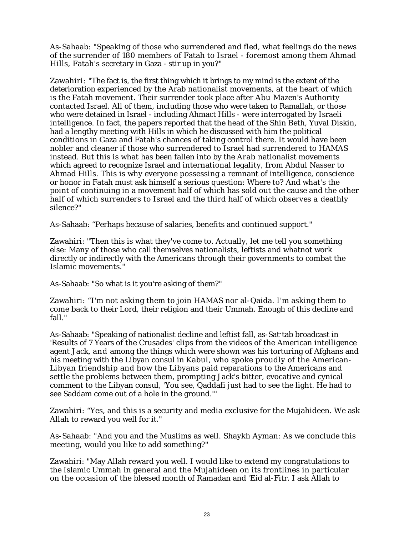As-Sahaab: "Speaking of those who surrendered and fled, what feelings do the news of the surrender of 180 members of Fatah to Israel - foremost among them Ahmad Hills, Fatah's secretary in Gaza - stir up in you?"

Zawahiri: "The fact is, the first thing which it brings to my mind is the extent of the deterioration experienced by the Arab nationalist movements, at the heart of which is the Fatah movement. Their surrender took place after Abu Mazen's Authority contacted Israel. All of them, including those who were taken to Ramallah, or those who were detained in Israel - including Ahmact Hills - were interrogated by Israeli intelligence. In fact, the papers reported that the head of the Shin Beth, Yuval Diskin, had a lengthy meeting with Hills in which he discussed with him the political conditions in Gaza and Fatah's chances of taking control there. It would have been nobler and cleaner if those who surrendered to Israel had surrendered to HAMAS instead. But this is what has been fallen into by the Arab nationalist movements which agreed to recognize Israel and international legality, from Abdul Nasser to Ahmad Hills. This is why everyone possessing a remnant of intelligence, conscience or honor in Fatah must ask himself a serious question: Where to? And what's the point of continuing in a movement half of which has sold out the cause and the other half of which surrenders to Israel and the third half of which observes a deathly silence?"

As-Sahaab: "Perhaps because of salaries, benefits and continued support."

Zawahiri: "Then this is what they've come to. Actually, let me tell you something else: Many of those who call themselves nationalists, leftists and whatnot work directly or indirectly with the Americans through their governments to combat the Islamic movements."

As-Sahaab: "So what is it you're asking of them?"

Zawahiri: "I'm not asking them to join HAMAS nor al-Qaida. I'm asking them to come back to their Lord, their religion and their Ummah. Enough of this decline and fall."

As-Sahaab: "Speaking of nationalist decline and leftist fall, as-Sat-tab broadcast in 'Results of 7 Years of the Crusades' clips from the videos of the American intelligence agent Jack, and among the things which were shown was his torturing of Afghans and his meeting with the Libyan consul in Kabul, who spoke proudly of the American-Libyan friendship and how the Libyans paid reparations to the Americans and settle the problems between them, prompting Jack's bitter, evocative and cynical comment to the Libyan consul, 'You see, Qaddafi just had to see the light. He had to see Saddam come out of a hole in the ground.'"

Zawahiri: "Yes, and this is a security and media exclusive for the Mujahideen. We ask Allah to reward you well for it."

As-Sahaab: "And you and the Muslims as well. Shaykh Ayman: As we conclude this meeting, would you like to add something?"

Zawahiri: "May Allah reward you well. I would like to extend my congratulations to the Islamic Ummah in general and the Mujahideen on its frontlines in particular on the occasion of the blessed month of Ramadan and 'Eid al-Fitr. I ask Allah to